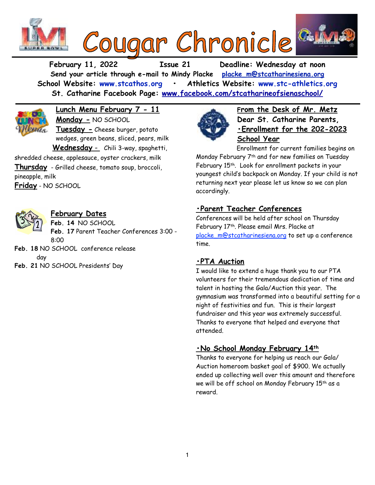

**February 11, 2022 Issue 21 Deadline: Wednesday at noon Send your article through e-mail to Mindy Placke [placke\\_m@stcatharinesiena.org](mailto:placke_m@stcatharinesiena.org) School Website: [www.stcathos.org](http://www.stcathos.org) • Athletics Website: [www.stc-athletics.org](http://www.stc-athletics.org) St. Catharine Facebook Page: [www.facebook.com/stcatharineofsienaschool/](https://www.facebook.com/stcatharineofsienaschool/)**



**Lunch Menu February 7 - 11 Monday -** NO SCHOOL **Tuesday -** Cheese burger, potato wedges, green beans, sliced, pears, milk **Wednesday** - Chili 3-way, spaghetti,

shredded cheese, applesauce, oyster crackers, milk **Thursday** - Grilled cheese, tomato soup, broccoli, pineapple, milk **Friday** - NO SCHOOL

## **February Dates**

**Feb. 14** NO SCHOOL **Feb. 17** Parent Teacher Conferences 3:00 - 8:00

- **Feb. 18** NO SCHOOL conference release day
- **Feb. 21** NO SCHOOL Presidents' Day



**From the Desk of Mr. Metz Dear St. Catharine Parents, •Enrollment for the 202-2023 School Year**

Enrollment for current families begins on Monday February 7th and for new families on Tuesday February 15th. Look for enrollment packets in your youngest child's backpack on Monday. If your child is not returning next year please let us know so we can plan accordingly.

# **•Parent Teacher Conferences**

Conferences will be held after school on Thursday February 17th. Please email Mrs. Placke at placke m@stcatharinesiena.org to set up a conference time.

## **•PTA Auction**

I would like to extend a huge thank you to our PTA volunteers for their tremendous dedication of time and talent in hosting the Gala/Auction this year. The gymnasium was transformed into a beautiful setting for a night of festivities and fun. This is their largest fundraiser and this year was extremely successful. Thanks to everyone that helped and everyone that attended.

## **•No School Monday February 14th**

Thanks to everyone for helping us reach our Gala/ Auction homeroom basket goal of \$900. We actually ended up collecting well over this amount and therefore we will be off school on Monday February 15th as a reward.